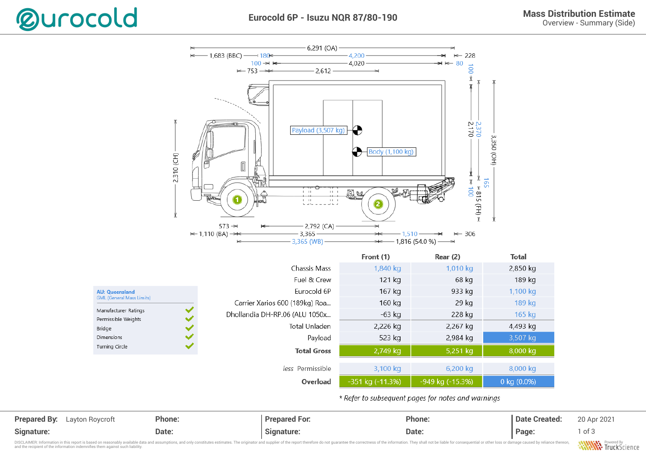



\* Refer to subsequent pages for notes and warnings

| <b>Prepared By:</b> Layton Roycroft | Phone: | <b>Prepared For.</b> | Phone: | Date Created: | 20 Apr 2021 |
|-------------------------------------|--------|----------------------|--------|---------------|-------------|
| Signature:                          | Date:  | Sıqnature:           | Date:  | Page:         | of 3        |

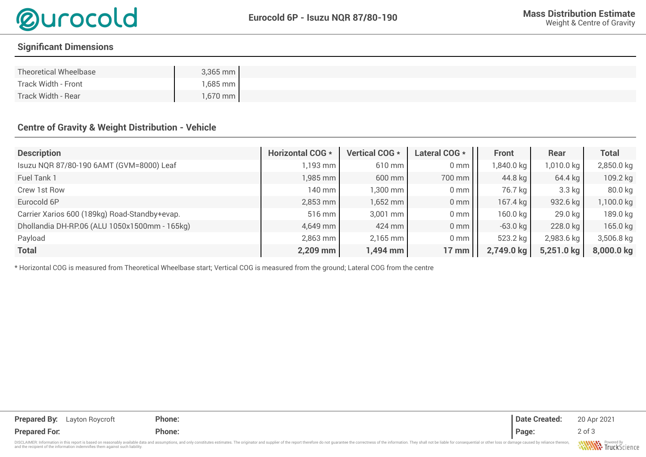

## **Signifcant Dimensions**

| Theoretical Wheelbase | $3,365$ mm         |  |  |
|-----------------------|--------------------|--|--|
| Track Width - Front   | 1,685 mm           |  |  |
| Track Width - Rear    | $1,670$ mm $\vert$ |  |  |

## **Centre of Gravity & Weight Distribution - Vehicle**

| <b>Description</b>                            | <b>Horizontal COG *</b> | Vertical COG * | Lateral COG *   | <b>Front</b> | Rear       | <b>Total</b> |
|-----------------------------------------------|-------------------------|----------------|-----------------|--------------|------------|--------------|
| Isuzu NQR 87/80-190 6AMT (GVM=8000) Leaf      | $1,193 \text{ mm}$      | 610 mm         | 0 <sub>mm</sub> | 1,840.0 kg   | 1,010.0 kg | 2,850.0 kg   |
| Fuel Tank 1                                   | $1,985$ mm              | 600 mm         | 700 mm          | 44.8 kg      | $64.4$ kg  | 109.2 kg     |
| Crew 1st Row                                  | 140 mm l                | 1,300 mm       | 0 <sub>mm</sub> | 76.7 kg      | $3.3$ kg   | 80.0 kg      |
| Eurocold 6P                                   | $2,853$ mm              | 1,652 mm       | 0 <sub>mm</sub> | 167.4 kg     | 932.6 kg   | 1,100.0 kg   |
| Carrier Xarios 600 (189kg) Road-Standby+evap. | $516$ mm                | 3,001 mm       | 0 <sub>mm</sub> | $160.0$ kg   | $29.0$ kg  | 189.0 kg     |
| Dhollandia DH-RP.06 (ALU 1050x1500mm - 165kg) | 4,649 mm                | 424 mm         | 0 <sub>mm</sub> | $-63.0$ kg   | 228.0 kg   | 165.0 kg     |
| Payload                                       | $2,863$ mm              | 2,165 mm       | 0 <sub>mm</sub> | 523.2 kg     | 2,983.6 kg | 3,506.8 kg   |
| <b>Total</b>                                  | $2,209$ mm              | l,494 mm       | <b>17 mm</b>    | 2,749.0 kg   | 5,251.0 kg | 8,000.0 kg   |

\* Horizontal COG is measured from Theoretical Wheelbase start; Vertical COG is measured from the ground; Lateral COG from the centre

| <b>Prepared By:</b><br>Layton Roycroft                                                                                                                                                                                         | Phone: | <b>Date Created:</b> | 20 Apr 2021 |
|--------------------------------------------------------------------------------------------------------------------------------------------------------------------------------------------------------------------------------|--------|----------------------|-------------|
| <b>Prepared For.</b>                                                                                                                                                                                                           | Phone: | Page:                | $2$ of $3$  |
| DISCLAIMER: Information in this report is based on reasonably available data and assumptions, and only constitutes estimates. The originator and supplier of the report therefore do not quarantee the correctness of the info |        |                      |             |